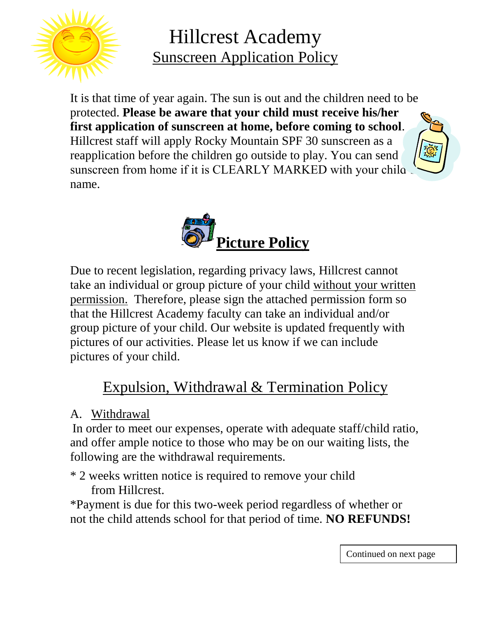

Hillcrest Academy Sunscreen Application Policy

It is that time of year again. The sun is out and the children need to be protected. **Please be aware that your child must receive his/her first application of sunscreen at home, before coming to school**. Hillcrest staff will apply Rocky Mountain SPF 30 sunscreen as a reapplication before the children go outside to play. You can send sunscreen from home if it is CLEARLY MARKED with your chila. name.



Due to recent legislation, regarding privacy laws, Hillcrest cannot take an individual or group picture of your child without your written permission. Therefore, please sign the attached permission form so that the Hillcrest Academy faculty can take an individual and/or group picture of your child. Our website is updated frequently with pictures of our activities. Please let us know if we can include pictures of your child.

## Expulsion, Withdrawal & Termination Policy

A. Withdrawal

In order to meet our expenses, operate with adequate staff/child ratio, and offer ample notice to those who may be on our waiting lists, the following are the withdrawal requirements.

\* 2 weeks written notice is required to remove your child from Hillcrest.

\*Payment is due for this two-week period regardless of whether or not the child attends school for that period of time. **NO REFUNDS!**

Continued on next page